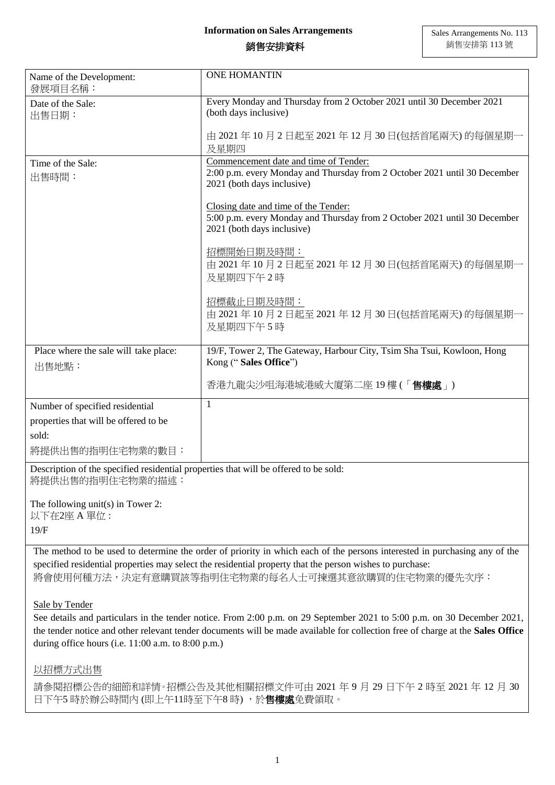## 銷售安排資料

| Name of the Development:<br>發展項目名稱:                                                                      | <b>ONE HOMANTIN</b>                                                                                                                                         |
|----------------------------------------------------------------------------------------------------------|-------------------------------------------------------------------------------------------------------------------------------------------------------------|
| Date of the Sale:<br>出售日期:                                                                               | Every Monday and Thursday from 2 October 2021 until 30 December 2021<br>(both days inclusive)                                                               |
|                                                                                                          | 由 2021 年 10 月 2 日起至 2021 年 12 月 30 日(包括首尾兩天) 的每個星期一<br>及星期四                                                                                                 |
| Time of the Sale:<br>出售時間:                                                                               | Commencement date and time of Tender:<br>2:00 p.m. every Monday and Thursday from 2 October 2021 until 30 December<br>2021 (both days inclusive)            |
|                                                                                                          | Closing date and time of the Tender:<br>5:00 p.m. every Monday and Thursday from 2 October 2021 until 30 December<br>2021 (both days inclusive)             |
|                                                                                                          | 招標開始日期及時間:<br>由 2021 年 10 月 2 日起至 2021 年 12 月 30 日(包括首尾兩天) 的每個星期一<br>及星期四下午2時                                                                               |
|                                                                                                          | 招標截止日期及時間:<br>由 2021 年 10 月 2 日起至 2021 年 12 月 30 日(包括首尾兩天) 的每個星期一<br>及星期四下午5時                                                                               |
| Place where the sale will take place:<br>出售地點:                                                           | 19/F, Tower 2, The Gateway, Harbour City, Tsim Sha Tsui, Kowloon, Hong<br>Kong ("Sales Office")                                                             |
|                                                                                                          | 香港九龍尖沙咀海港城港威大廈第二座 19 樓 (「 <b>售樓處</b> 」)                                                                                                                     |
| Number of specified residential                                                                          | 1                                                                                                                                                           |
| properties that will be offered to be                                                                    |                                                                                                                                                             |
| sold:                                                                                                    |                                                                                                                                                             |
| 將提供出售的指明住宅物業的數目:                                                                                         |                                                                                                                                                             |
| Description of the specified residential properties that will be offered to be sold:<br>將提供出售的指明住宅物業的描述: |                                                                                                                                                             |
| The following unit(s) in Tower 2:<br>以下在2座 A 單位:                                                         |                                                                                                                                                             |
| 19/F                                                                                                     |                                                                                                                                                             |
|                                                                                                          | The method to be used to determine the order of priority in which each of the persons interested in purchasing any of the                                   |
|                                                                                                          | specified residential properties may select the residential property that the person wishes to purchase:<br>將會使用何種方法,決定有意購買該等指明住宅物業的每名人士可揀選其意欲購買的住宅物業的優先次序: |
| Sale by Tender                                                                                           |                                                                                                                                                             |
|                                                                                                          | See details and particulars in the tender notice. From 2:00 p.m. on 29 September 2021 to 5:00 p.m. on 30 December 2021,                                     |
|                                                                                                          | the tender notice and other relevant tender documents will be made available for collection free of charge at the Sales Office                              |
| during office hours (i.e. 11:00 a.m. to 8:00 p.m.)                                                       |                                                                                                                                                             |

以招標方式出售

請參閱招標公告的細節和詳情。招標公告及其他相關招標文件可由 2021 年 9 月 29 日下午 2 時至 2021 年 12 月 30 日下午5 時於辦公時間內 (即上午11時至下午8時),於售樓處免費領取。